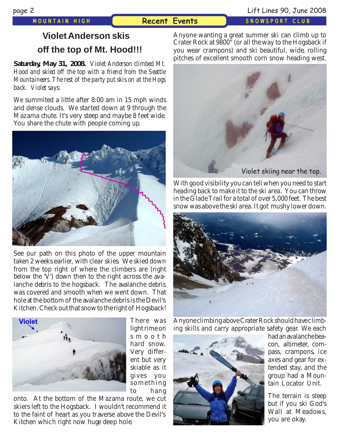## *MOUNTAIN HIGH* **Recent Events** *SNOWSPORT CLUB*

# **Violet Anderson skis off the top of Mt. Hood!!!**

**Saturday, May 31, 2008.** *Violet Anderson climbed Mt. Hood and skied off the top with a friend from the Seattle Mountaineers. The rest of the party put skis on at the Hogs back. Violet says:*

We summited a little after 8:00 am in 15 mph win[ds](http://www.mthigh.org/PhotosRecent.htm) and dense clouds. We started down at 9 through the Mazama chute. It's very steep and maybe 8 feet wide. You share the chute with people c[oming up.](http://www.mthigh.org/BulletinBoard.htm)



See our path on this photo of the upper mountain taken 2 weeks earlier, with clear skies. We skied down from the top right of where the climbers are (right below the  $\vec{V}$ ) down then to the right across the avalanche debris to the hogsback. The avalanche debris was covered and smooth wh[en we went down. That](mailto:baebaw@ccwebster.net) hole at the bottom of the avalanche debris is the Devil's Kitchen. Check out that snow to the right of Hogsback!



There was light rime on smooth hard snow. Very different but very skiable as it gives you something to hang

onto. At the bottom of the Mazama route, we cut skiers left to the Hogsback. I wouldn't recommend it to the faint of heart as you traverse above the Devil's Kitchen which right now huge deep hole.

Anyone wanting a great summer ski can climb up to Crater Rock at 9800" (or all the way to the Hogsback if you wear crampons) and ski beautiful, wide, rolling pitches of excellent smooth corn snow heading west.



With good visibility you can tell when you need to start heading back to make it to the ski area. You can throw in the Glade Trail for a total of over 5,000 feet. The best snow was above the ski area. It got mushy lower down.



Anyone climbing above Crater Rock should have climbing skills and carry appropriate safety gear. We each



had an avalanche beacon, altimeter, compass, crampons, ice axes and gear for extended stay, and the group had a Mountain Locator Unit.

The terrain is steep but if you ski God's Wall at Meadows, you are okay.